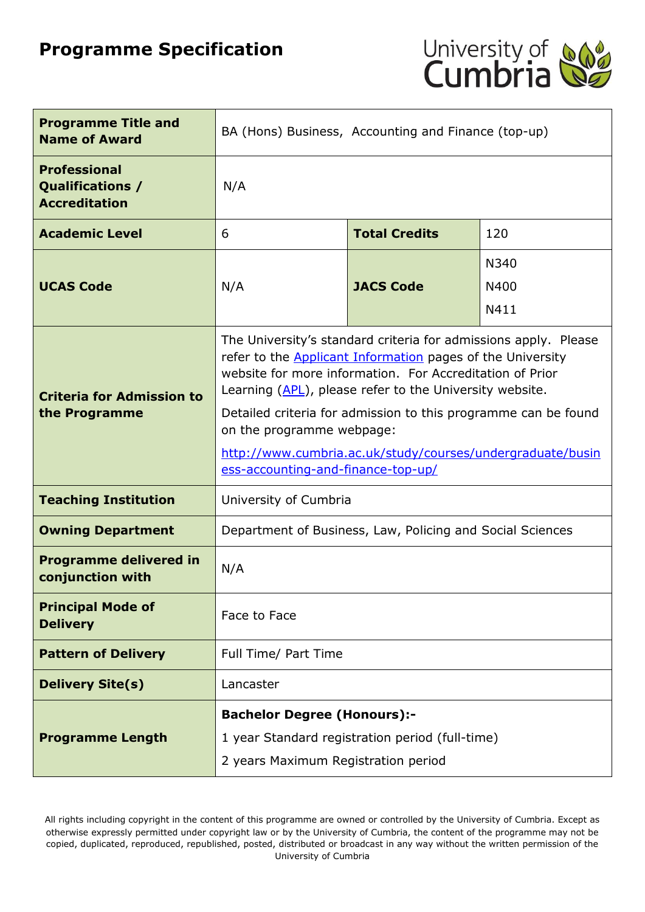# **Programme Specification**



| <b>Programme Title and</b><br><b>Name of Award</b>                     | BA (Hons) Business, Accounting and Finance (top-up)                                                                                                                                                                                                                                                                                                                                                                                                            |                      |     |  |
|------------------------------------------------------------------------|----------------------------------------------------------------------------------------------------------------------------------------------------------------------------------------------------------------------------------------------------------------------------------------------------------------------------------------------------------------------------------------------------------------------------------------------------------------|----------------------|-----|--|
| <b>Professional</b><br><b>Qualifications /</b><br><b>Accreditation</b> | N/A                                                                                                                                                                                                                                                                                                                                                                                                                                                            |                      |     |  |
| <b>Academic Level</b>                                                  | 6                                                                                                                                                                                                                                                                                                                                                                                                                                                              | <b>Total Credits</b> | 120 |  |
| <b>UCAS Code</b>                                                       | N340<br><b>JACS Code</b><br>N/A<br>N400<br>N411                                                                                                                                                                                                                                                                                                                                                                                                                |                      |     |  |
| <b>Criteria for Admission to</b><br>the Programme                      | The University's standard criteria for admissions apply. Please<br>refer to the <b>Applicant Information</b> pages of the University<br>website for more information. For Accreditation of Prior<br>Learning (APL), please refer to the University website.<br>Detailed criteria for admission to this programme can be found<br>on the programme webpage:<br>http://www.cumbria.ac.uk/study/courses/undergraduate/busin<br>ess-accounting-and-finance-top-up/ |                      |     |  |
| <b>Teaching Institution</b>                                            | University of Cumbria                                                                                                                                                                                                                                                                                                                                                                                                                                          |                      |     |  |
| <b>Owning Department</b>                                               | Department of Business, Law, Policing and Social Sciences                                                                                                                                                                                                                                                                                                                                                                                                      |                      |     |  |
| <b>Programme delivered in</b><br>conjunction with                      | N/A                                                                                                                                                                                                                                                                                                                                                                                                                                                            |                      |     |  |
| <b>Principal Mode of</b><br><b>Delivery</b>                            | Face to Face                                                                                                                                                                                                                                                                                                                                                                                                                                                   |                      |     |  |
| <b>Pattern of Delivery</b>                                             | Full Time/ Part Time                                                                                                                                                                                                                                                                                                                                                                                                                                           |                      |     |  |
| <b>Delivery Site(s)</b>                                                | Lancaster                                                                                                                                                                                                                                                                                                                                                                                                                                                      |                      |     |  |
| <b>Programme Length</b>                                                | <b>Bachelor Degree (Honours):-</b><br>1 year Standard registration period (full-time)<br>2 years Maximum Registration period                                                                                                                                                                                                                                                                                                                                   |                      |     |  |

All rights including copyright in the content of this programme are owned or controlled by the University of Cumbria. Except as otherwise expressly permitted under copyright law or by the University of Cumbria, the content of the programme may not be copied, duplicated, reproduced, republished, posted, distributed or broadcast in any way without the written permission of the University of Cumbria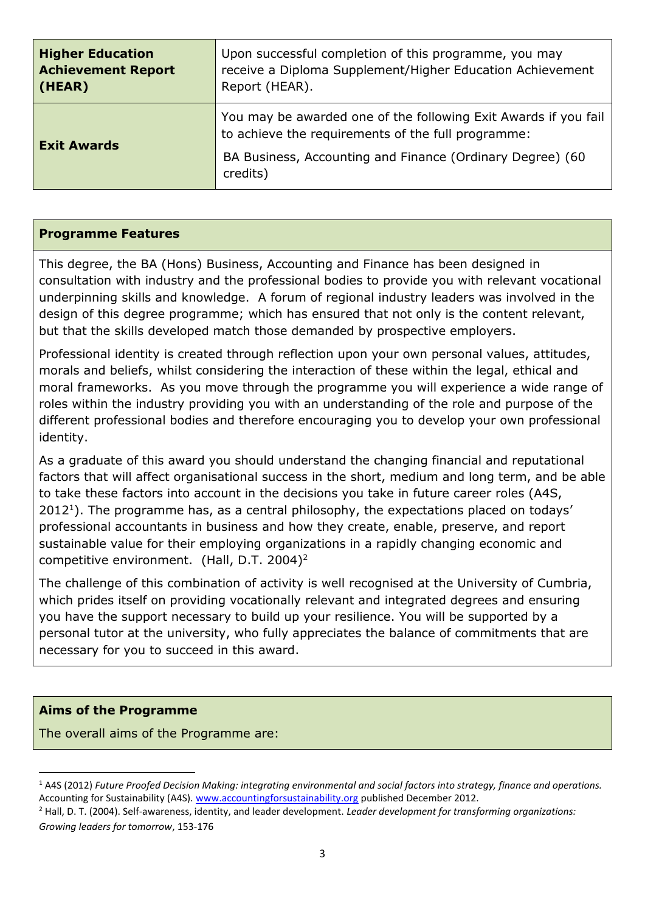| <b>Higher Education</b>   | Upon successful completion of this programme, you may                                                                                                                                          |  |  |
|---------------------------|------------------------------------------------------------------------------------------------------------------------------------------------------------------------------------------------|--|--|
| <b>Achievement Report</b> | receive a Diploma Supplement/Higher Education Achievement                                                                                                                                      |  |  |
| (HEAR)                    | Report (HEAR).                                                                                                                                                                                 |  |  |
| <b>Exit Awards</b>        | You may be awarded one of the following Exit Awards if you fail<br>to achieve the requirements of the full programme:<br>BA Business, Accounting and Finance (Ordinary Degree) (60<br>credits) |  |  |

#### **Programme Features**

This degree, the BA (Hons) Business, Accounting and Finance has been designed in consultation with industry and the professional bodies to provide you with relevant vocational underpinning skills and knowledge. A forum of regional industry leaders was involved in the design of this degree programme; which has ensured that not only is the content relevant, but that the skills developed match those demanded by prospective employers.

Professional identity is created through reflection upon your own personal values, attitudes, morals and beliefs, whilst considering the interaction of these within the legal, ethical and moral frameworks. As you move through the programme you will experience a wide range of roles within the industry providing you with an understanding of the role and purpose of the different professional bodies and therefore encouraging you to develop your own professional identity.

As a graduate of this award you should understand the changing financial and reputational factors that will affect organisational success in the short, medium and long term, and be able to take these factors into account in the decisions you take in future career roles (A4S,  $2012<sup>1</sup>$ ). The programme has, as a central philosophy, the expectations placed on todays' professional accountants in business and how they create, enable, preserve, and report sustainable value for their employing organizations in a rapidly changing economic and competitive environment. (Hall, D.T. 2004)<sup>2</sup>

The challenge of this combination of activity is well recognised at the University of Cumbria, which prides itself on providing vocationally relevant and integrated degrees and ensuring you have the support necessary to build up your resilience. You will be supported by a personal tutor at the university, who fully appreciates the balance of commitments that are necessary for you to succeed in this award.

### **Aims of the Programme**

1

The overall aims of the Programme are:

<sup>1</sup> A4S (2012) *Future Proofed Decision Making: integrating environmental and social factors into strategy, finance and operations.* Accounting for Sustainability (A4S). [www.accountingforsustainability.org](http://www.accountingforsustainability.org/) published December 2012.

<sup>2</sup> Hall, D. T. (2004). Self-awareness, identity, and leader development. *Leader development for transforming organizations: Growing leaders for tomorrow*, 153-176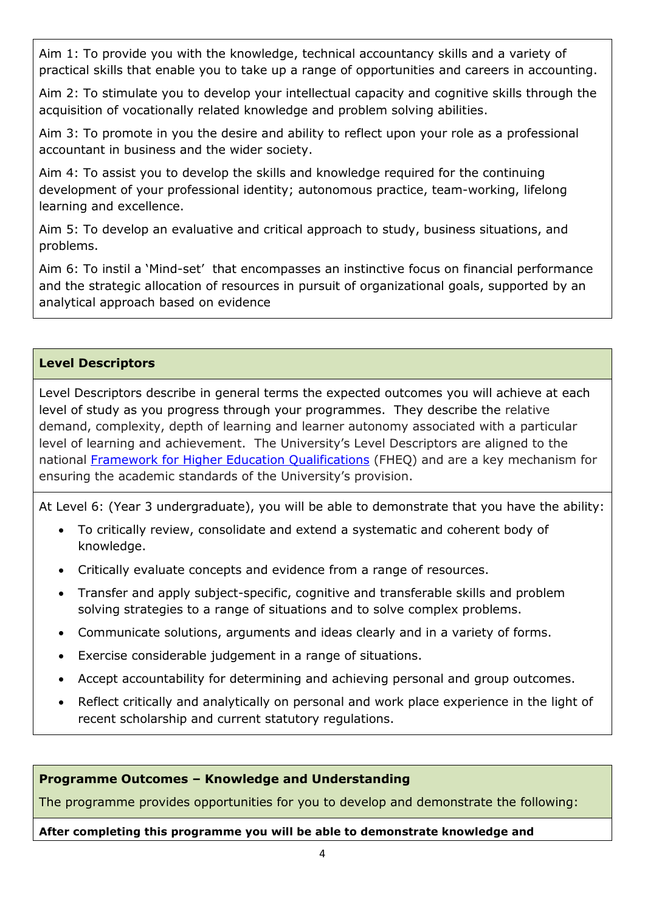Aim 1: To provide you with the knowledge, technical accountancy skills and a variety of practical skills that enable you to take up a range of opportunities and careers in accounting.

Aim 2: To stimulate you to develop your intellectual capacity and cognitive skills through the acquisition of vocationally related knowledge and problem solving abilities.

Aim 3: To promote in you the desire and ability to reflect upon your role as a professional accountant in business and the wider society.

Aim 4: To assist you to develop the skills and knowledge required for the continuing development of your professional identity; autonomous practice, team-working, lifelong learning and excellence.

Aim 5: To develop an evaluative and critical approach to study, business situations, and problems.

Aim 6: To instil a 'Mind-set' that encompasses an instinctive focus on financial performance and the strategic allocation of resources in pursuit of organizational goals, supported by an analytical approach based on evidence

### **Level Descriptors**

Level Descriptors describe in general terms the expected outcomes you will achieve at each level of study as you progress through your programmes. They describe the relative demand, complexity, depth of learning and learner autonomy associated with a particular level of learning and achievement. The University's Level Descriptors are aligned to the national [Framework for Higher Education Qualifications](http://www.qaa.ac.uk/Publications/InformationAndGuidance/Pages/The-framework-for-higher-education-qualifications-in-England-Wales-and-Northern-Ireland.aspx) (FHEQ) and are a key mechanism for ensuring the academic standards of the University's provision.

At Level 6: (Year 3 undergraduate), you will be able to demonstrate that you have the ability:

- To critically review, consolidate and extend a systematic and coherent body of knowledge.
- Critically evaluate concepts and evidence from a range of resources.
- Transfer and apply subject-specific, cognitive and transferable skills and problem solving strategies to a range of situations and to solve complex problems.
- Communicate solutions, arguments and ideas clearly and in a variety of forms.
- Exercise considerable judgement in a range of situations.
- Accept accountability for determining and achieving personal and group outcomes.
- Reflect critically and analytically on personal and work place experience in the light of recent scholarship and current statutory regulations.

### **Programme Outcomes – Knowledge and Understanding**

The programme provides opportunities for you to develop and demonstrate the following:

**After completing this programme you will be able to demonstrate knowledge and**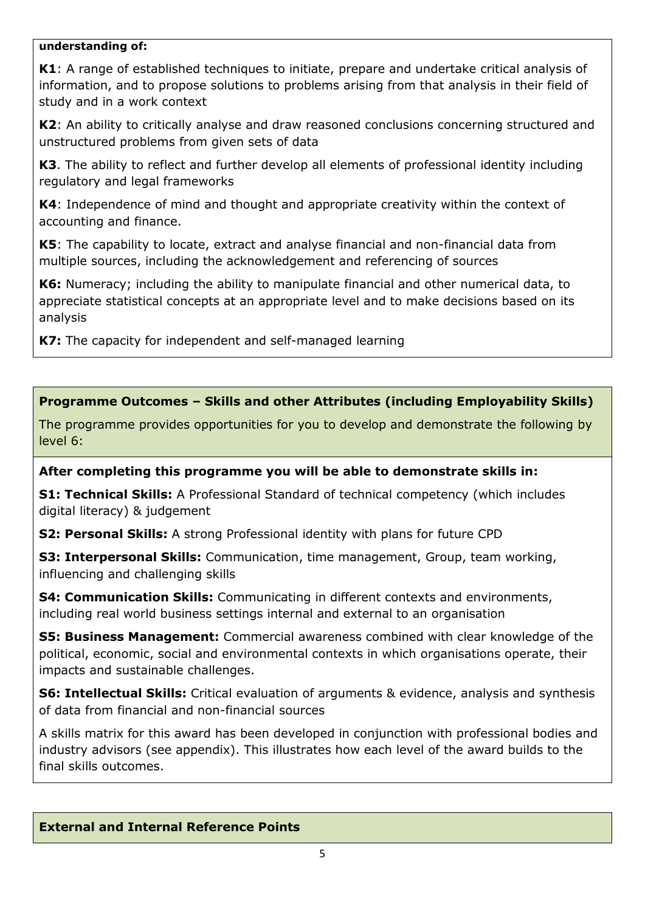### **understanding of:**

**K1**: A range of established techniques to initiate, prepare and undertake critical analysis of information, and to propose solutions to problems arising from that analysis in their field of study and in a work context

**K2**: An ability to critically analyse and draw reasoned conclusions concerning structured and unstructured problems from given sets of data

**K3**. The ability to reflect and further develop all elements of professional identity including regulatory and legal frameworks

**K4**: Independence of mind and thought and appropriate creativity within the context of accounting and finance.

**K5**: The capability to locate, extract and analyse financial and non-financial data from multiple sources, including the acknowledgement and referencing of sources

**K6:** Numeracy; including the ability to manipulate financial and other numerical data, to appreciate statistical concepts at an appropriate level and to make decisions based on its analysis

**K7:** The capacity for independent and self-managed learning

**Programme Outcomes – Skills and other Attributes (including Employability Skills)**

The programme provides opportunities for you to develop and demonstrate the following by level 6:

### **After completing this programme you will be able to demonstrate skills in:**

**S1: Technical Skills:** A Professional Standard of technical competency (which includes digital literacy) & judgement

**S2: Personal Skills:** A strong Professional identity with plans for future CPD

**S3: Interpersonal Skills:** Communication, time management, Group, team working, influencing and challenging skills

**S4: Communication Skills:** Communicating in different contexts and environments, including real world business settings internal and external to an organisation

**S5: Business Management:** Commercial awareness combined with clear knowledge of the political, economic, social and environmental contexts in which organisations operate, their impacts and sustainable challenges.

**S6: Intellectual Skills:** Critical evaluation of arguments & evidence, analysis and synthesis of data from financial and non-financial sources

A skills matrix for this award has been developed in conjunction with professional bodies and industry advisors (see appendix). This illustrates how each level of the award builds to the final skills outcomes.

### **External and Internal Reference Points**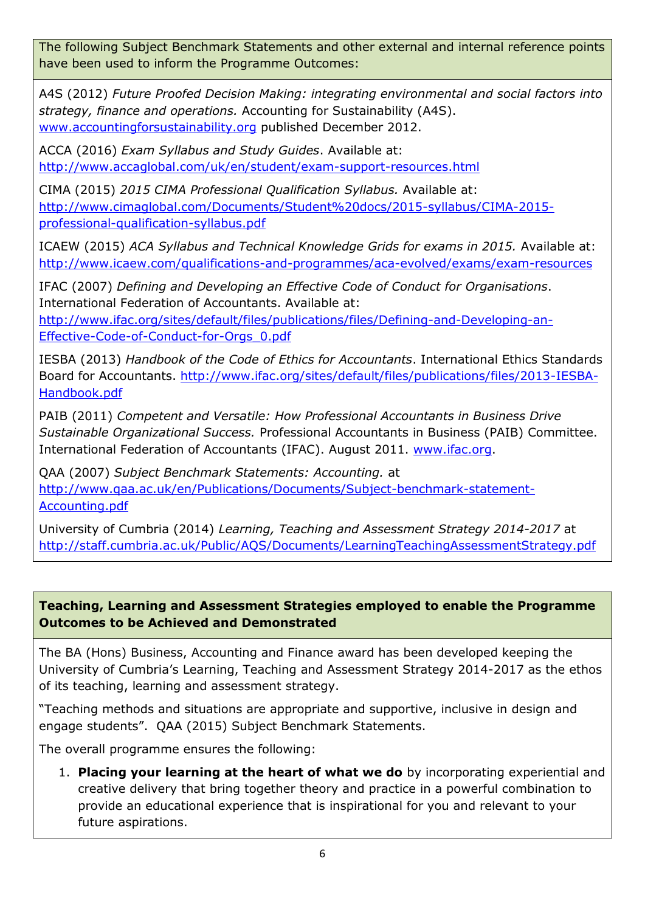The following Subject Benchmark Statements and other external and internal reference points have been used to inform the Programme Outcomes:

A4S (2012) *Future Proofed Decision Making: integrating environmental and social factors into strategy, finance and operations.* Accounting for Sustainability (A4S). [www.accountingforsustainability.org](http://www.accountingforsustainability.org/) published December 2012.

ACCA (2016) *Exam Syllabus and Study Guides*. Available at: <http://www.accaglobal.com/uk/en/student/exam-support-resources.html>

CIMA (2015) *2015 CIMA Professional Qualification Syllabus.* Available at: [http://www.cimaglobal.com/Documents/Student%20docs/2015-syllabus/CIMA-2015](http://www.cimaglobal.com/Documents/Student%20docs/2015-syllabus/CIMA-2015-professional-qualification-syllabus.pdf) [professional-qualification-syllabus.pdf](http://www.cimaglobal.com/Documents/Student%20docs/2015-syllabus/CIMA-2015-professional-qualification-syllabus.pdf)

ICAEW (2015) *ACA Syllabus and Technical Knowledge Grids for exams in 2015.* Available at: <http://www.icaew.com/qualifications-and-programmes/aca-evolved/exams/exam-resources>

IFAC (2007) *Defining and Developing an Effective Code of Conduct for Organisations*. International Federation of Accountants. Available at:

[http://www.ifac.org/sites/default/files/publications/files/Defining-and-Developing-an-](http://www.ifac.org/sites/default/files/publications/files/Defining-and-Developing-an-Effective-Code-of-Conduct-for-Orgs_0.pdf)[Effective-Code-of-Conduct-for-Orgs\\_0.pdf](http://www.ifac.org/sites/default/files/publications/files/Defining-and-Developing-an-Effective-Code-of-Conduct-for-Orgs_0.pdf)

IESBA (2013) *Handbook of the Code of Ethics for Accountants*. International Ethics Standards Board for Accountants. [http://www.ifac.org/sites/default/files/publications/files/2013-IESBA-](http://www.ifac.org/sites/default/files/publications/files/2013-IESBA-Handbook.pdf)[Handbook.pdf](http://www.ifac.org/sites/default/files/publications/files/2013-IESBA-Handbook.pdf)

PAIB (2011) *Competent and Versatile: How Professional Accountants in Business Drive Sustainable Organizational Success.* Professional Accountants in Business (PAIB) Committee. International Federation of Accountants (IFAC). August 2011. [www.ifac.org.](http://www.ifac.org/)

QAA (2007) *Subject Benchmark Statements: Accounting.* at [http://www.qaa.ac.uk/en/Publications/Documents/Subject-benchmark-statement-](http://www.qaa.ac.uk/en/Publications/Documents/Subject-benchmark-statement-Accounting.pdf)[Accounting.pdf](http://www.qaa.ac.uk/en/Publications/Documents/Subject-benchmark-statement-Accounting.pdf)

University of Cumbria (2014) *Learning, Teaching and Assessment Strategy 2014-2017* at <http://staff.cumbria.ac.uk/Public/AQS/Documents/LearningTeachingAssessmentStrategy.pdf>

# **Teaching, Learning and Assessment Strategies employed to enable the Programme Outcomes to be Achieved and Demonstrated**

The BA (Hons) Business, Accounting and Finance award has been developed keeping the University of Cumbria's Learning, Teaching and Assessment Strategy 2014-2017 as the ethos of its teaching, learning and assessment strategy.

"Teaching methods and situations are appropriate and supportive, inclusive in design and engage students". QAA (2015) Subject Benchmark Statements.

The overall programme ensures the following:

1. **Placing your learning at the heart of what we do** by incorporating experiential and creative delivery that bring together theory and practice in a powerful combination to provide an educational experience that is inspirational for you and relevant to your future aspirations.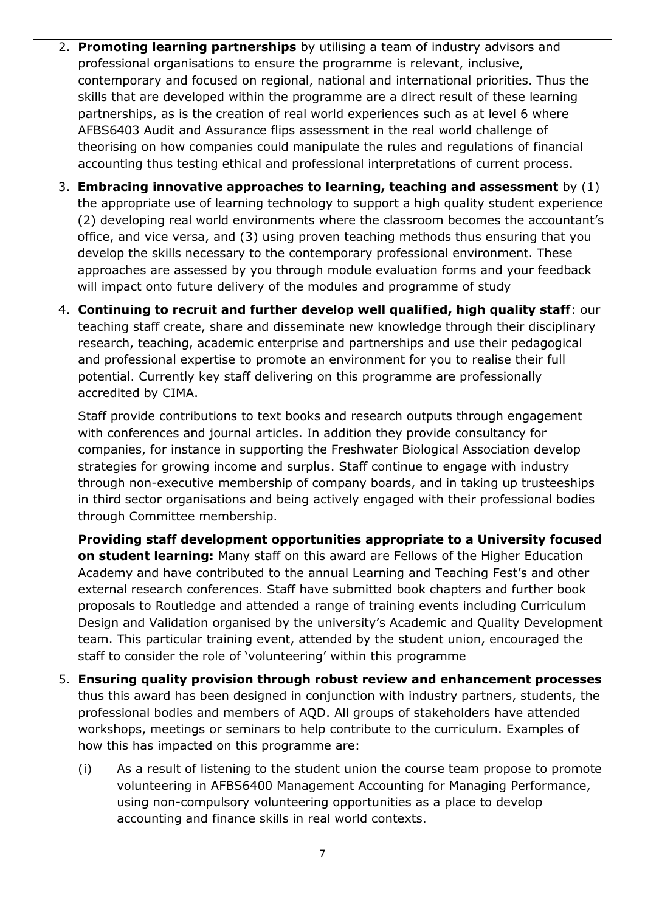- 2. **Promoting learning partnerships** by utilising a team of industry advisors and professional organisations to ensure the programme is relevant, inclusive, contemporary and focused on regional, national and international priorities. Thus the skills that are developed within the programme are a direct result of these learning partnerships, as is the creation of real world experiences such as at level 6 where AFBS6403 Audit and Assurance flips assessment in the real world challenge of theorising on how companies could manipulate the rules and regulations of financial accounting thus testing ethical and professional interpretations of current process.
- 3. **Embracing innovative approaches to learning, teaching and assessment** by (1) the appropriate use of learning technology to support a high quality student experience (2) developing real world environments where the classroom becomes the accountant's office, and vice versa, and (3) using proven teaching methods thus ensuring that you develop the skills necessary to the contemporary professional environment. These approaches are assessed by you through module evaluation forms and your feedback will impact onto future delivery of the modules and programme of study
- 4. **Continuing to recruit and further develop well qualified, high quality staff**: our teaching staff create, share and disseminate new knowledge through their disciplinary research, teaching, academic enterprise and partnerships and use their pedagogical and professional expertise to promote an environment for you to realise their full potential. Currently key staff delivering on this programme are professionally accredited by CIMA.

Staff provide contributions to text books and research outputs through engagement with conferences and journal articles. In addition they provide consultancy for companies, for instance in supporting the Freshwater Biological Association develop strategies for growing income and surplus. Staff continue to engage with industry through non-executive membership of company boards, and in taking up trusteeships in third sector organisations and being actively engaged with their professional bodies through Committee membership.

**Providing staff development opportunities appropriate to a University focused on student learning:** Many staff on this award are Fellows of the Higher Education Academy and have contributed to the annual Learning and Teaching Fest's and other external research conferences. Staff have submitted book chapters and further book proposals to Routledge and attended a range of training events including Curriculum Design and Validation organised by the university's Academic and Quality Development team. This particular training event, attended by the student union, encouraged the staff to consider the role of 'volunteering' within this programme

- 5. **Ensuring quality provision through robust review and enhancement processes** thus this award has been designed in conjunction with industry partners, students, the professional bodies and members of AQD. All groups of stakeholders have attended workshops, meetings or seminars to help contribute to the curriculum. Examples of how this has impacted on this programme are:
	- (i) As a result of listening to the student union the course team propose to promote volunteering in AFBS6400 Management Accounting for Managing Performance, using non-compulsory volunteering opportunities as a place to develop accounting and finance skills in real world contexts.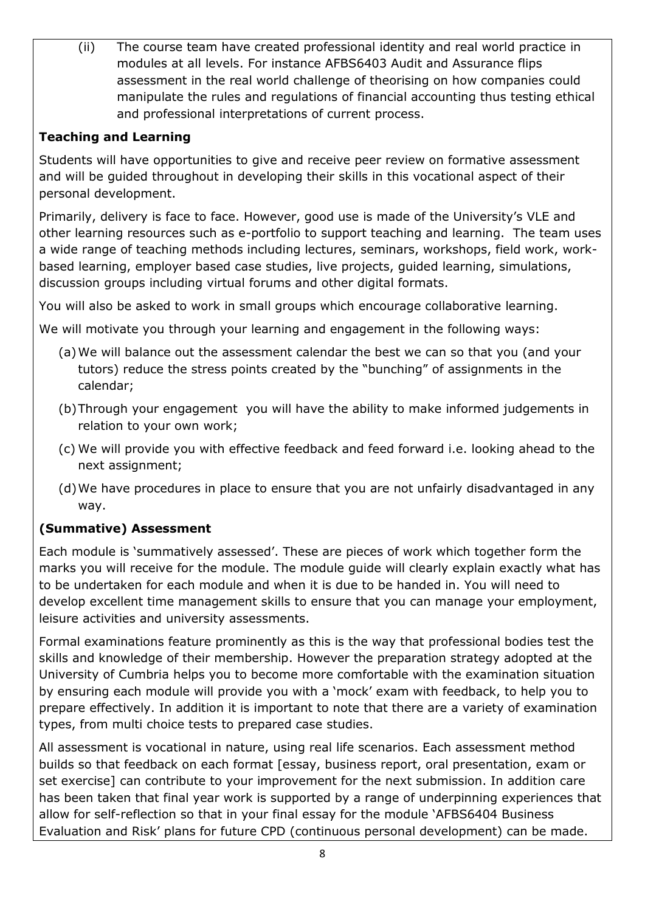(ii) The course team have created professional identity and real world practice in modules at all levels. For instance AFBS6403 Audit and Assurance flips assessment in the real world challenge of theorising on how companies could manipulate the rules and regulations of financial accounting thus testing ethical and professional interpretations of current process.

# **Teaching and Learning**

Students will have opportunities to give and receive peer review on formative assessment and will be guided throughout in developing their skills in this vocational aspect of their personal development.

Primarily, delivery is face to face. However, good use is made of the University's VLE and other learning resources such as e-portfolio to support teaching and learning. The team uses a wide range of teaching methods including lectures, seminars, workshops, field work, workbased learning, employer based case studies, live projects, guided learning, simulations, discussion groups including virtual forums and other digital formats.

You will also be asked to work in small groups which encourage collaborative learning.

We will motivate you through your learning and engagement in the following ways:

- (a)We will balance out the assessment calendar the best we can so that you (and your tutors) reduce the stress points created by the "bunching" of assignments in the calendar;
- (b)Through your engagement you will have the ability to make informed judgements in relation to your own work;
- (c) We will provide you with effective feedback and feed forward i.e. looking ahead to the next assignment;
- (d)We have procedures in place to ensure that you are not unfairly disadvantaged in any way.

# **(Summative) Assessment**

Each module is 'summatively assessed'. These are pieces of work which together form the marks you will receive for the module. The module guide will clearly explain exactly what has to be undertaken for each module and when it is due to be handed in. You will need to develop excellent time management skills to ensure that you can manage your employment, leisure activities and university assessments.

Formal examinations feature prominently as this is the way that professional bodies test the skills and knowledge of their membership. However the preparation strategy adopted at the University of Cumbria helps you to become more comfortable with the examination situation by ensuring each module will provide you with a 'mock' exam with feedback, to help you to prepare effectively. In addition it is important to note that there are a variety of examination types, from multi choice tests to prepared case studies.

All assessment is vocational in nature, using real life scenarios. Each assessment method builds so that feedback on each format [essay, business report, oral presentation, exam or set exercise] can contribute to your improvement for the next submission. In addition care has been taken that final year work is supported by a range of underpinning experiences that allow for self-reflection so that in your final essay for the module 'AFBS6404 Business Evaluation and Risk' plans for future CPD (continuous personal development) can be made.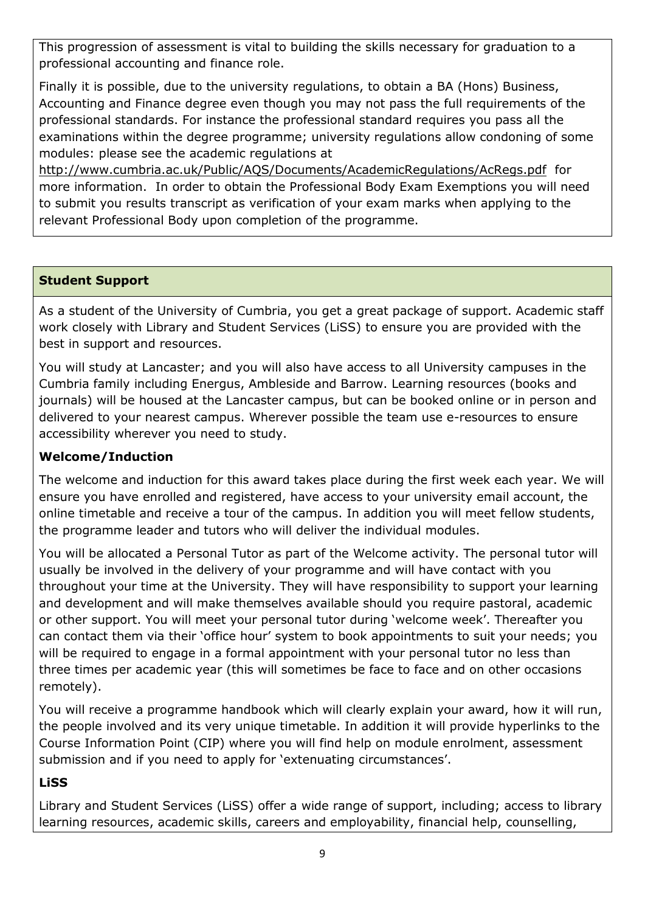This progression of assessment is vital to building the skills necessary for graduation to a professional accounting and finance role.

Finally it is possible, due to the university regulations, to obtain a BA (Hons) Business, Accounting and Finance degree even though you may not pass the full requirements of the professional standards. For instance the professional standard requires you pass all the examinations within the degree programme; university regulations allow condoning of some modules: please see the academic regulations at

<http://www.cumbria.ac.uk/Public/AQS/Documents/AcademicRegulations/AcRegs.pdf>for more information. In order to obtain the Professional Body Exam Exemptions you will need to submit you results transcript as verification of your exam marks when applying to the relevant Professional Body upon completion of the programme.

# **Student Support**

As a student of the University of Cumbria, you get a great package of support. Academic staff work closely with Library and Student Services (LiSS) to ensure you are provided with the best in support and resources.

You will study at Lancaster; and you will also have access to all University campuses in the Cumbria family including Energus, Ambleside and Barrow. Learning resources (books and journals) will be housed at the Lancaster campus, but can be booked online or in person and delivered to your nearest campus. Wherever possible the team use e-resources to ensure accessibility wherever you need to study.

# **Welcome/Induction**

The welcome and induction for this award takes place during the first week each year. We will ensure you have enrolled and registered, have access to your university email account, the online timetable and receive a tour of the campus. In addition you will meet fellow students, the programme leader and tutors who will deliver the individual modules.

You will be allocated a Personal Tutor as part of the Welcome activity. The personal tutor will usually be involved in the delivery of your programme and will have contact with you throughout your time at the University. They will have responsibility to support your learning and development and will make themselves available should you require pastoral, academic or other support. You will meet your personal tutor during 'welcome week'. Thereafter you can contact them via their 'office hour' system to book appointments to suit your needs; you will be required to engage in a formal appointment with your personal tutor no less than three times per academic year (this will sometimes be face to face and on other occasions remotely).

You will receive a programme handbook which will clearly explain your award, how it will run, the people involved and its very unique timetable. In addition it will provide hyperlinks to the Course Information Point (CIP) where you will find help on module enrolment, assessment submission and if you need to apply for 'extenuating circumstances'.

# **LiSS**

Library and Student Services (LiSS) offer a wide range of support, including; access to library learning resources, academic skills, careers and employability, financial help, counselling,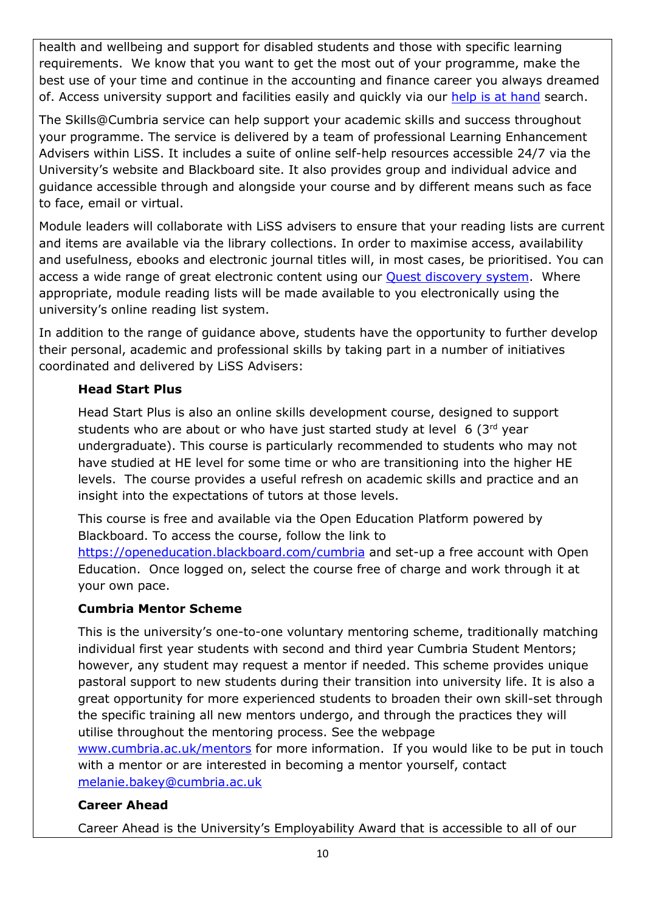health and wellbeing and support for disabled students and those with specific learning requirements. We know that you want to get the most out of your programme, make the best use of your time and continue in the accounting and finance career you always dreamed of. Access university support and facilities easily and quickly via our [help is at hand](http://www.cumbria.ac.uk/StudentLife/Support/Helpisathand.aspx) search.

The Skills@Cumbria service can help support your academic skills and success throughout your programme. The service is delivered by a team of professional Learning Enhancement Advisers within LiSS. It includes a suite of online self-help resources accessible 24/7 via the University's website and Blackboard site. It also provides group and individual advice and guidance accessible through and alongside your course and by different means such as face to face, email or virtual.

Module leaders will collaborate with LiSS advisers to ensure that your reading lists are current and items are available via the library collections. In order to maximise access, availability and usefulness, ebooks and electronic journal titles will, in most cases, be prioritised. You can access a wide range of great electronic content using our **Quest discovery system**. Where appropriate, module reading lists will be made available to you electronically using the university's online reading list system.

In addition to the range of guidance above, students have the opportunity to further develop their personal, academic and professional skills by taking part in a number of initiatives coordinated and delivered by LiSS Advisers:

# **Head Start Plus**

Head Start Plus is also an online skills development course, designed to support students who are about or who have just started study at level  $6$  (3rd year undergraduate). This course is particularly recommended to students who may not have studied at HE level for some time or who are transitioning into the higher HE levels. The course provides a useful refresh on academic skills and practice and an insight into the expectations of tutors at those levels.

This course is free and available via the Open Education Platform powered by Blackboard. To access the course, follow the link to <https://openeducation.blackboard.com/cumbria> and set-up a free account with Open Education. Once logged on, select the course free of charge and work through it at your own pace.

# **Cumbria Mentor Scheme**

This is the university's one-to-one voluntary mentoring scheme, traditionally matching individual first year students with second and third year Cumbria Student Mentors; however, any student may request a mentor if needed. This scheme provides unique pastoral support to new students during their transition into university life. It is also a great opportunity for more experienced students to broaden their own skill-set through the specific training all new mentors undergo, and through the practices they will utilise throughout the mentoring process. See the webpage [www.cumbria.ac.uk/mentors](http://www.cumbria.ac.uk/mentors) for more information. If you would like to be put in touch with a mentor or are interested in becoming a mentor yourself, contact

[melanie.bakey@cumbria.ac.uk](mailto:melanie.bakey@cumbria.ac.uk)

# **Career Ahead**

Career Ahead is the University's Employability Award that is accessible to all of our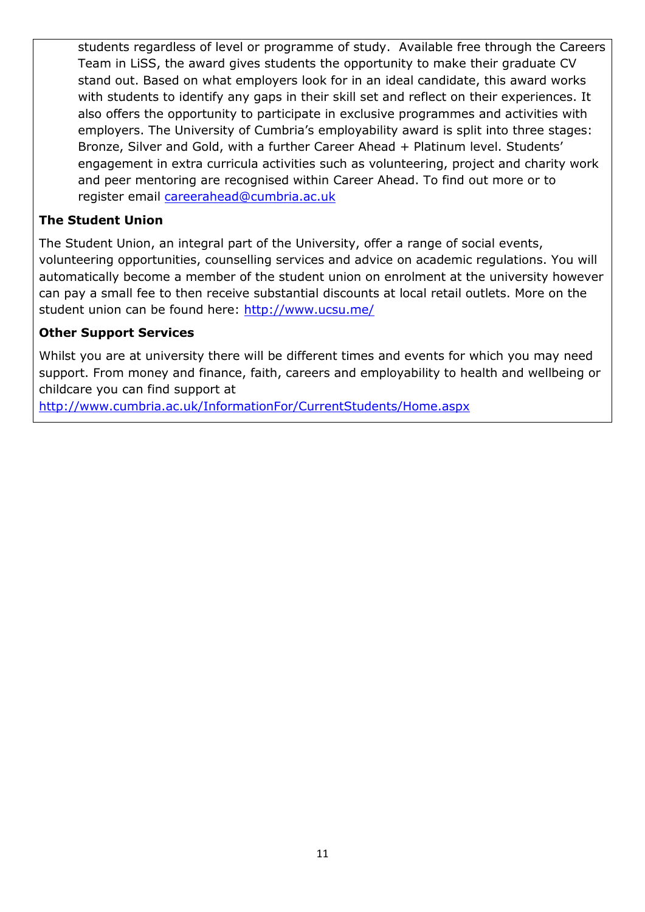students regardless of level or programme of study. Available free through the Careers Team in LiSS, the award gives students the opportunity to make their graduate CV stand out. Based on what employers look for in an ideal candidate, this award works with students to identify any gaps in their skill set and reflect on their experiences. It also offers the opportunity to participate in exclusive programmes and activities with employers. The University of Cumbria's employability award is split into three stages: Bronze, Silver and Gold, with a further Career Ahead + Platinum level. Students' engagement in extra curricula activities such as volunteering, project and charity work and peer mentoring are recognised within Career Ahead. To find out more or to register email [careerahead@cumbria.ac.uk](mailto:careerahead@cumbria.ac.uk)

# **The Student Union**

The Student Union, an integral part of the University, offer a range of social events, volunteering opportunities, counselling services and advice on academic regulations. You will automatically become a member of the student union on enrolment at the university however can pay a small fee to then receive substantial discounts at local retail outlets. More on the student union can be found here:<http://www.ucsu.me/>

# **Other Support Services**

Whilst you are at university there will be different times and events for which you may need support. From money and finance, faith, careers and employability to health and wellbeing or childcare you can find support at

<http://www.cumbria.ac.uk/InformationFor/CurrentStudents/Home.aspx>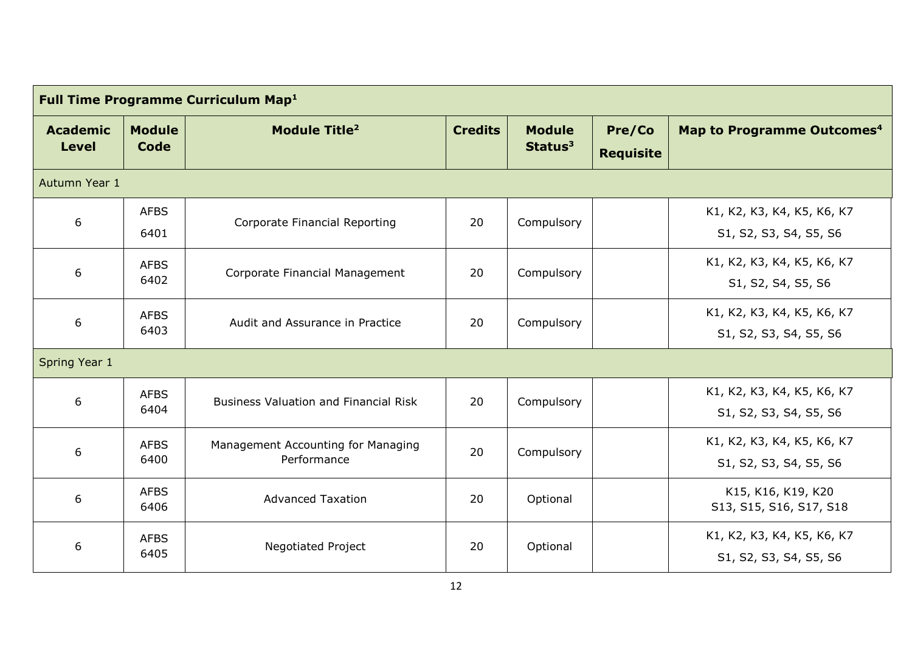| <b>Full Time Programme Curriculum Map1</b>            |                                                    |                                                   |                |                                      |                                                      |                                                      |  |  |
|-------------------------------------------------------|----------------------------------------------------|---------------------------------------------------|----------------|--------------------------------------|------------------------------------------------------|------------------------------------------------------|--|--|
| <b>Academic</b><br><b>Level</b>                       | <b>Module</b><br>Module Title <sup>2</sup><br>Code |                                                   | <b>Credits</b> | <b>Module</b><br>Status <sup>3</sup> | Pre/Co<br><b>Requisite</b>                           | Map to Programme Outcomes <sup>4</sup>               |  |  |
| Autumn Year 1                                         |                                                    |                                                   |                |                                      |                                                      |                                                      |  |  |
| 6                                                     | <b>AFBS</b><br>6401                                | Corporate Financial Reporting                     | 20             | Compulsory                           |                                                      | K1, K2, K3, K4, K5, K6, K7<br>S1, S2, S3, S4, S5, S6 |  |  |
| 6                                                     | <b>AFBS</b><br>6402                                | Corporate Financial Management                    | 20             | Compulsory                           |                                                      | K1, K2, K3, K4, K5, K6, K7<br>S1, S2, S4, S5, S6     |  |  |
| 6                                                     | <b>AFBS</b><br>6403                                | Audit and Assurance in Practice                   | 20             | Compulsory                           |                                                      | K1, K2, K3, K4, K5, K6, K7<br>S1, S2, S3, S4, S5, S6 |  |  |
| Spring Year 1                                         |                                                    |                                                   |                |                                      |                                                      |                                                      |  |  |
| 6                                                     | <b>AFBS</b><br>6404                                | <b>Business Valuation and Financial Risk</b>      | 20             | Compulsory                           |                                                      | K1, K2, K3, K4, K5, K6, K7<br>S1, S2, S3, S4, S5, S6 |  |  |
| 6                                                     | <b>AFBS</b><br>6400                                | Management Accounting for Managing<br>Performance | 20             | Compulsory                           |                                                      | K1, K2, K3, K4, K5, K6, K7<br>S1, S2, S3, S4, S5, S6 |  |  |
| 6                                                     | <b>AFBS</b><br>6406                                | <b>Advanced Taxation</b>                          | 20             | Optional                             |                                                      | K15, K16, K19, K20<br>S13, S15, S16, S17, S18        |  |  |
| <b>AFBS</b><br><b>Negotiated Project</b><br>6<br>6405 |                                                    | 20                                                | Optional       |                                      | K1, K2, K3, K4, K5, K6, K7<br>S1, S2, S3, S4, S5, S6 |                                                      |  |  |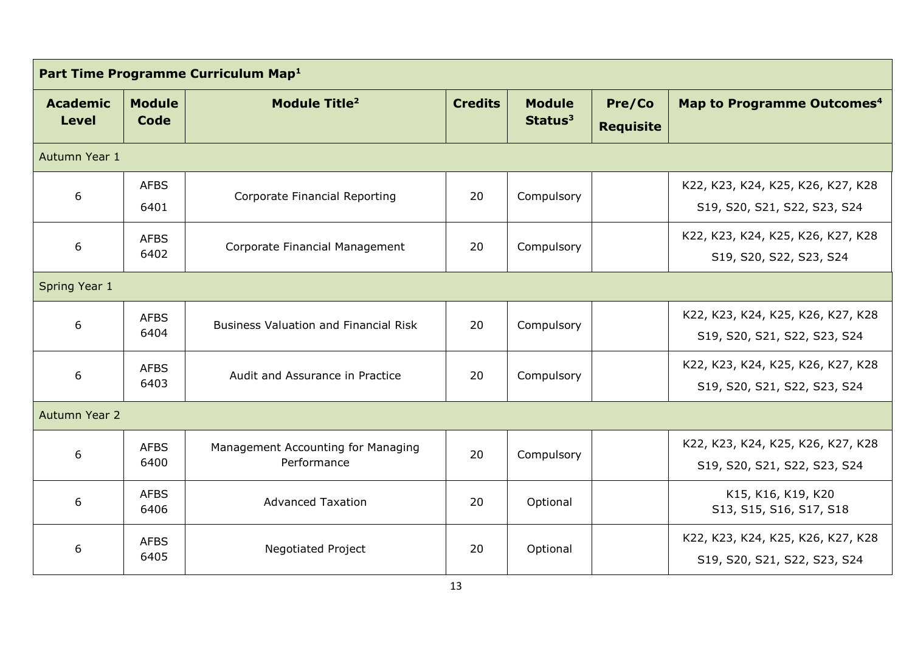| Part Time Programme Curriculum Map <sup>1</sup>       |                                                                 |                                                   |                |                                      |                                                                   |                                                                   |  |  |
|-------------------------------------------------------|-----------------------------------------------------------------|---------------------------------------------------|----------------|--------------------------------------|-------------------------------------------------------------------|-------------------------------------------------------------------|--|--|
| <b>Academic</b><br><b>Level</b>                       | <b>Module</b><br><b>Module Title<sup>2</sup></b><br><b>Code</b> |                                                   | <b>Credits</b> | <b>Module</b><br>Status <sup>3</sup> | Pre/Co<br><b>Requisite</b>                                        | Map to Programme Outcomes <sup>4</sup>                            |  |  |
| Autumn Year 1                                         |                                                                 |                                                   |                |                                      |                                                                   |                                                                   |  |  |
| 6                                                     | <b>AFBS</b><br>6401                                             | Corporate Financial Reporting                     | 20             | Compulsory                           |                                                                   | K22, K23, K24, K25, K26, K27, K28<br>S19, S20, S21, S22, S23, S24 |  |  |
| 6                                                     | <b>AFBS</b><br>Corporate Financial Management<br>6402           |                                                   | 20             | Compulsory                           |                                                                   | K22, K23, K24, K25, K26, K27, K28<br>S19, S20, S22, S23, S24      |  |  |
| Spring Year 1                                         |                                                                 |                                                   |                |                                      |                                                                   |                                                                   |  |  |
| 6                                                     | <b>AFBS</b><br>6404                                             | <b>Business Valuation and Financial Risk</b>      | 20             | Compulsory                           |                                                                   | K22, K23, K24, K25, K26, K27, K28<br>S19, S20, S21, S22, S23, S24 |  |  |
| 6                                                     | <b>AFBS</b><br>Audit and Assurance in Practice<br>6403          |                                                   | 20             | Compulsory                           |                                                                   | K22, K23, K24, K25, K26, K27, K28<br>S19, S20, S21, S22, S23, S24 |  |  |
| Autumn Year 2                                         |                                                                 |                                                   |                |                                      |                                                                   |                                                                   |  |  |
| 6                                                     | <b>AFBS</b><br>6400                                             | Management Accounting for Managing<br>Performance | 20             | Compulsory                           |                                                                   | K22, K23, K24, K25, K26, K27, K28<br>S19, S20, S21, S22, S23, S24 |  |  |
| 6                                                     | <b>AFBS</b><br>6406                                             | <b>Advanced Taxation</b>                          | 20             | Optional                             |                                                                   | K15, K16, K19, K20<br>S13, S15, S16, S17, S18                     |  |  |
| <b>AFBS</b><br><b>Negotiated Project</b><br>6<br>6405 |                                                                 | 20                                                | Optional       |                                      | K22, K23, K24, K25, K26, K27, K28<br>S19, S20, S21, S22, S23, S24 |                                                                   |  |  |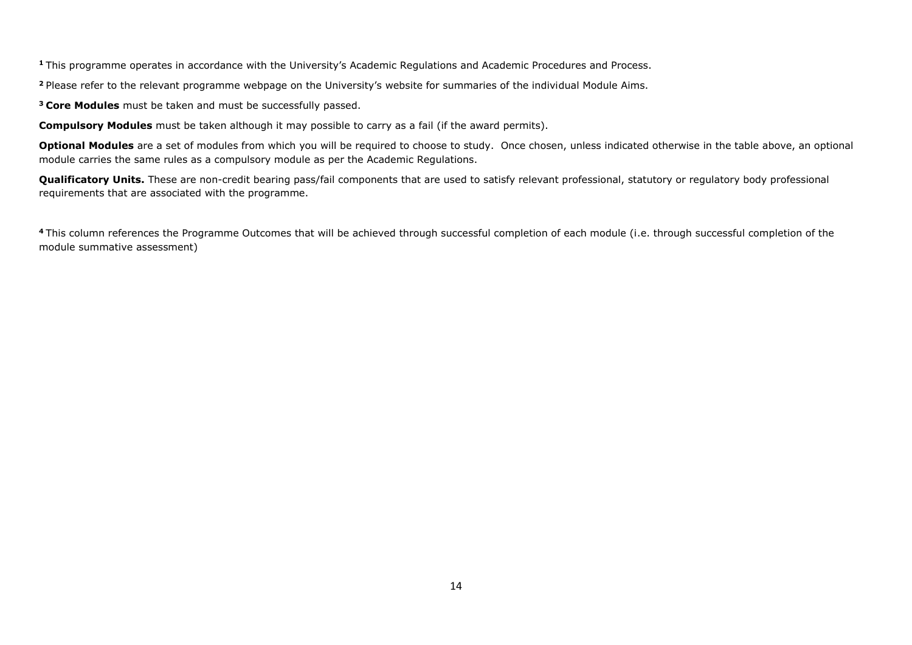**<sup>1</sup>**This programme operates in accordance with the University's Academic Regulations and Academic Procedures and Process.

**<sup>2</sup>**Please refer to the relevant programme webpage on the University's website for summaries of the individual Module Aims.

**<sup>3</sup>Core Modules** must be taken and must be successfully passed.

**Compulsory Modules** must be taken although it may possible to carry as a fail (if the award permits).

**Optional Modules** are a set of modules from which you will be required to choose to study. Once chosen, unless indicated otherwise in the table above, an optional module carries the same rules as a compulsory module as per the Academic Regulations.

Qualificatory Units. These are non-credit bearing pass/fail components that are used to satisfy relevant professional, statutory or regulatory body professional requirements that are associated with the programme.

<sup>4</sup>This column references the Programme Outcomes that will be achieved through successful completion of each module (i.e. through successful completion of the module summative assessment)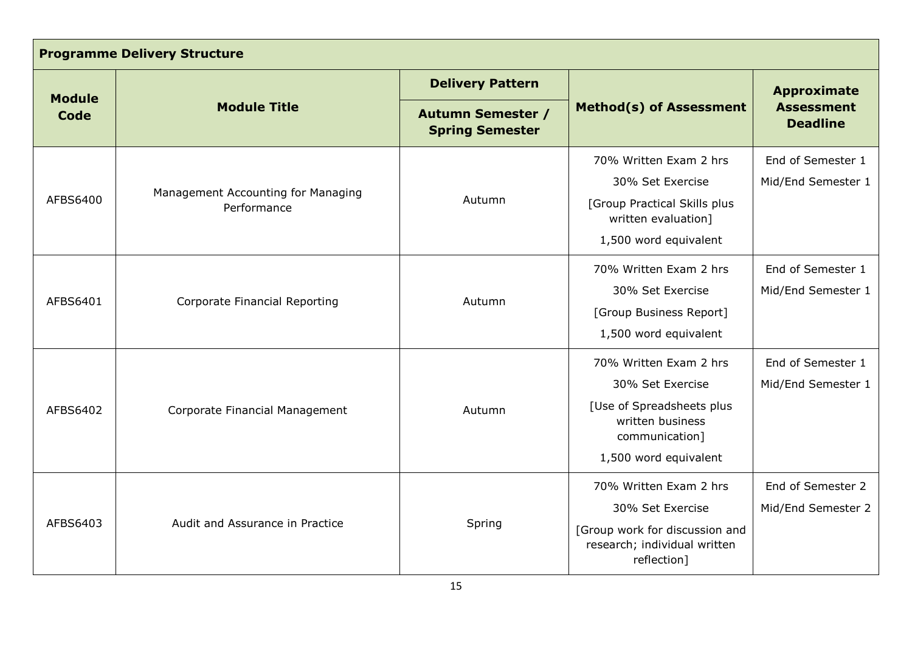| <b>Programme Delivery Structure</b> |                                                   |                                                    |                                                                                                                                        |                                         |  |  |  |
|-------------------------------------|---------------------------------------------------|----------------------------------------------------|----------------------------------------------------------------------------------------------------------------------------------------|-----------------------------------------|--|--|--|
|                                     |                                                   | <b>Delivery Pattern</b>                            |                                                                                                                                        | <b>Approximate</b>                      |  |  |  |
| <b>Module</b><br><b>Code</b>        | <b>Module Title</b>                               | <b>Autumn Semester /</b><br><b>Spring Semester</b> | <b>Method(s) of Assessment</b>                                                                                                         | <b>Assessment</b><br><b>Deadline</b>    |  |  |  |
| AFBS6400                            | Management Accounting for Managing<br>Performance | Autumn                                             | 70% Written Exam 2 hrs<br>30% Set Exercise<br>[Group Practical Skills plus<br>written evaluation]<br>1,500 word equivalent             | End of Semester 1<br>Mid/End Semester 1 |  |  |  |
| AFBS6401                            | Corporate Financial Reporting                     | Autumn                                             | 70% Written Exam 2 hrs<br>30% Set Exercise<br>[Group Business Report]<br>1,500 word equivalent                                         | End of Semester 1<br>Mid/End Semester 1 |  |  |  |
| AFBS6402                            | Corporate Financial Management                    | Autumn                                             | 70% Written Exam 2 hrs<br>30% Set Exercise<br>[Use of Spreadsheets plus<br>written business<br>communication]<br>1,500 word equivalent | End of Semester 1<br>Mid/End Semester 1 |  |  |  |
| AFBS6403                            | Audit and Assurance in Practice                   | Spring                                             | 70% Written Exam 2 hrs<br>30% Set Exercise<br>[Group work for discussion and<br>research; individual written<br>reflection]            | End of Semester 2<br>Mid/End Semester 2 |  |  |  |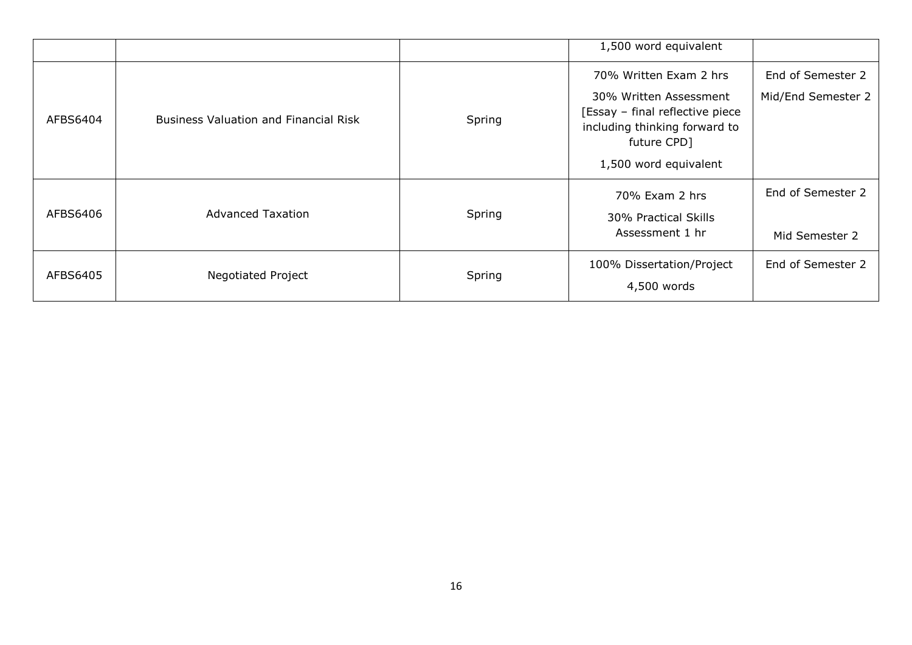|          |                                              |        | 1,500 word equivalent                                                                                                                                         |                                         |
|----------|----------------------------------------------|--------|---------------------------------------------------------------------------------------------------------------------------------------------------------------|-----------------------------------------|
| AFBS6404 | <b>Business Valuation and Financial Risk</b> | Spring | 70% Written Exam 2 hrs<br>30% Written Assessment<br>[Essay - final reflective piece]<br>including thinking forward to<br>future CPD]<br>1,500 word equivalent | End of Semester 2<br>Mid/End Semester 2 |
| AFBS6406 | <b>Advanced Taxation</b>                     | Spring | 70% Exam 2 hrs<br>30% Practical Skills<br>Assessment 1 hr                                                                                                     | End of Semester 2<br>Mid Semester 2     |
| AFBS6405 | <b>Negotiated Project</b>                    | Spring | 100% Dissertation/Project<br>4,500 words                                                                                                                      | End of Semester 2                       |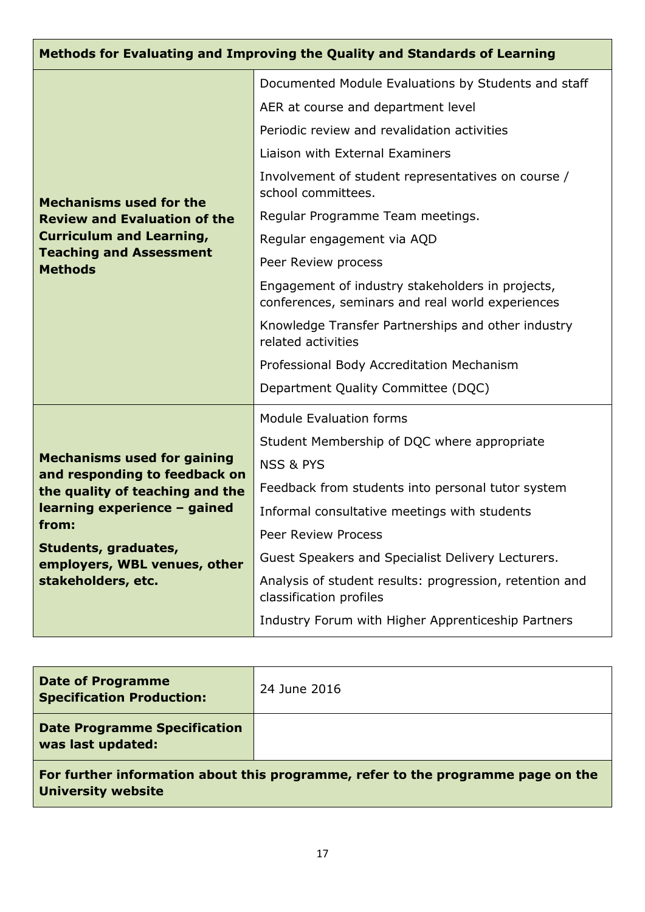| Methods for Evaluating and Improving the Quality and Standards of Learning |                                                                                                      |  |  |  |  |
|----------------------------------------------------------------------------|------------------------------------------------------------------------------------------------------|--|--|--|--|
|                                                                            | Documented Module Evaluations by Students and staff                                                  |  |  |  |  |
|                                                                            | AER at course and department level                                                                   |  |  |  |  |
|                                                                            | Periodic review and revalidation activities                                                          |  |  |  |  |
|                                                                            | Liaison with External Examiners                                                                      |  |  |  |  |
| <b>Mechanisms used for the</b>                                             | Involvement of student representatives on course /<br>school committees.                             |  |  |  |  |
| <b>Review and Evaluation of the</b>                                        | Regular Programme Team meetings.                                                                     |  |  |  |  |
| <b>Curriculum and Learning,</b>                                            | Regular engagement via AQD                                                                           |  |  |  |  |
| <b>Teaching and Assessment</b><br><b>Methods</b>                           | Peer Review process                                                                                  |  |  |  |  |
|                                                                            | Engagement of industry stakeholders in projects,<br>conferences, seminars and real world experiences |  |  |  |  |
|                                                                            | Knowledge Transfer Partnerships and other industry<br>related activities                             |  |  |  |  |
|                                                                            | Professional Body Accreditation Mechanism                                                            |  |  |  |  |
|                                                                            | Department Quality Committee (DQC)                                                                   |  |  |  |  |
|                                                                            | <b>Module Evaluation forms</b>                                                                       |  |  |  |  |
|                                                                            | Student Membership of DQC where appropriate                                                          |  |  |  |  |
| <b>Mechanisms used for gaining</b><br>and responding to feedback on        | <b>NSS &amp; PYS</b>                                                                                 |  |  |  |  |
| the quality of teaching and the                                            | Feedback from students into personal tutor system                                                    |  |  |  |  |
| learning experience - gained                                               | Informal consultative meetings with students                                                         |  |  |  |  |
| from:                                                                      | Peer Review Process                                                                                  |  |  |  |  |
| Students, graduates,<br>employers, WBL venues, other                       | Guest Speakers and Specialist Delivery Lecturers.                                                    |  |  |  |  |
| stakeholders, etc.                                                         | Analysis of student results: progression, retention and<br>classification profiles                   |  |  |  |  |
|                                                                            | Industry Forum with Higher Apprenticeship Partners                                                   |  |  |  |  |

| <b>Date of Programme</b><br><b>Specification Production:</b>                     | 24 June 2016 |  |  |
|----------------------------------------------------------------------------------|--------------|--|--|
| <b>Date Programme Specification</b><br>was last updated:                         |              |  |  |
| For further information about this programme, refer to the programme page on the |              |  |  |

**University website**